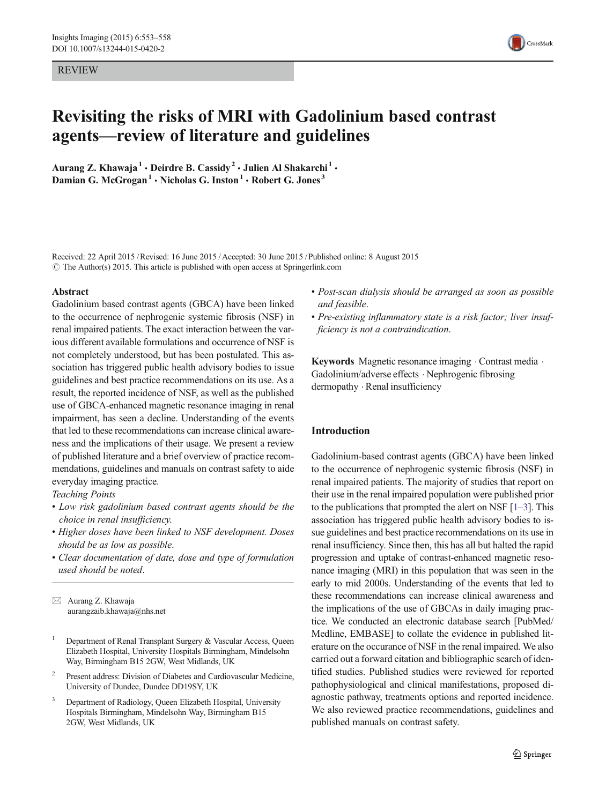REVIEW



# Revisiting the risks of MRI with Gadolinium based contrast agents—review of literature and guidelines

Aurang Z. Khawaja<sup>1</sup> · Deirdre B. Cassidy<sup>2</sup> · Julien Al Shakarchi<sup>1</sup> · Damian G. McGrogan<sup>1</sup>  $\cdot$  Nicholas G. Inston<sup>1</sup>  $\cdot$  Robert G. Jones<sup>3</sup>

Received: 22 April 2015 /Revised: 16 June 2015 /Accepted: 30 June 2015 /Published online: 8 August 2015  $\odot$  The Author(s) 2015. This article is published with open access at Springerlink.com

#### Abstract

Gadolinium based contrast agents (GBCA) have been linked to the occurrence of nephrogenic systemic fibrosis (NSF) in renal impaired patients. The exact interaction between the various different available formulations and occurrence of NSF is not completely understood, but has been postulated. This association has triggered public health advisory bodies to issue guidelines and best practice recommendations on its use. As a result, the reported incidence of NSF, as well as the published use of GBCA-enhanced magnetic resonance imaging in renal impairment, has seen a decline. Understanding of the events that led to these recommendations can increase clinical awareness and the implications of their usage. We present a review of published literature and a brief overview of practice recommendations, guidelines and manuals on contrast safety to aide everyday imaging practice.

Teaching Points

- Low risk gadolinium based contrast agents should be the choice in renal insufficiency.
- Higher doses have been linked to NSF development. Doses should be as low as possible.
- Clear documentation of date, dose and type of formulation used should be noted.

 $\boxtimes$  Aurang Z. Khawaja aurangzaib.khawaja@nhs.net

- <sup>1</sup> Department of Renal Transplant Surgery  $\&$  Vascular Access, Queen Elizabeth Hospital, University Hospitals Birmingham, Mindelsohn Way, Birmingham B15 2GW, West Midlands, UK
- <sup>2</sup> Present address: Division of Diabetes and Cardiovascular Medicine, University of Dundee, Dundee DD19SY, UK
- <sup>3</sup> Department of Radiology, Queen Elizabeth Hospital, University Hospitals Birmingham, Mindelsohn Way, Birmingham B15 2GW, West Midlands, UK
- Post-scan dialysis should be arranged as soon as possible and feasible.
- Pre-existing inflammatory state is a risk factor; liver insufficiency is not a contraindication.

Keywords Magnetic resonance imaging . Contrast media . Gadolinium/adverse effects . Nephrogenic fibrosing dermopathy . Renal insufficiency

### Introduction

Gadolinium-based contrast agents (GBCA) have been linked to the occurrence of nephrogenic systemic fibrosis (NSF) in renal impaired patients. The majority of studies that report on their use in the renal impaired population were published prior to the publications that prompted the alert on NSF [\[1](#page-4-0)–[3](#page-4-0)]. This association has triggered public health advisory bodies to issue guidelines and best practice recommendations on its use in renal insufficiency. Since then, this has all but halted the rapid progression and uptake of contrast-enhanced magnetic resonance imaging (MRI) in this population that was seen in the early to mid 2000s. Understanding of the events that led to these recommendations can increase clinical awareness and the implications of the use of GBCAs in daily imaging practice. We conducted an electronic database search [PubMed/ Medline, EMBASE] to collate the evidence in published literature on the occurance of NSF in the renal impaired. We also carried out a forward citation and bibliographic search of identified studies. Published studies were reviewed for reported pathophysiological and clinical manifestations, proposed diagnostic pathway, treatments options and reported incidence. We also reviewed practice recommendations, guidelines and published manuals on contrast safety.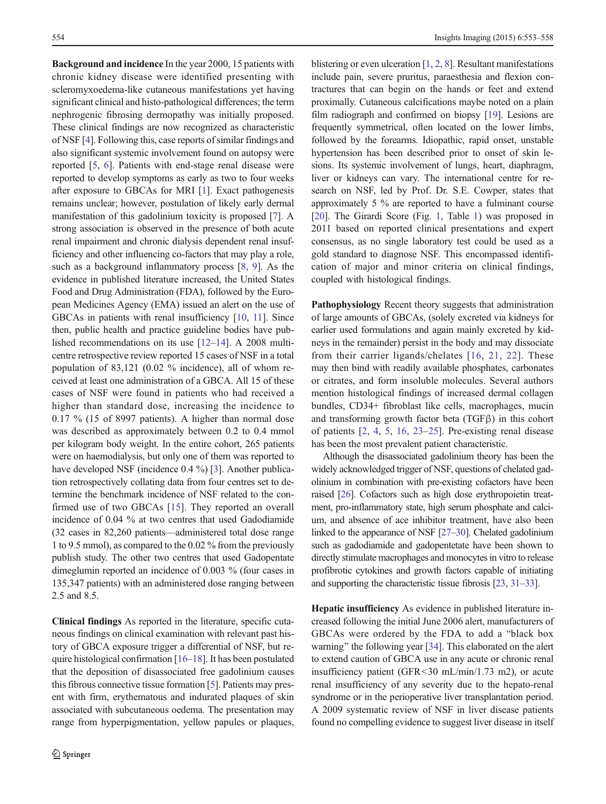Background and incidence In the year 2000, 15 patients with chronic kidney disease were identified presenting with scleromyxoedema-like cutaneous manifestations yet having significant clinical and histo-pathological differences; the term nephrogenic fibrosing dermopathy was initially proposed. These clinical findings are now recognized as characteristic of NSF [[4\]](#page-4-0). Following this, case reports of similar findings and also significant systemic involvement found on autopsy were reported [[5,](#page-4-0) [6](#page-4-0)]. Patients with end-stage renal disease were reported to develop symptoms as early as two to four weeks after exposure to GBCAs for MRI [\[1](#page-4-0)]. Exact pathogenesis remains unclear; however, postulation of likely early dermal manifestation of this gadolinium toxicity is proposed [\[7\]](#page-4-0). A strong association is observed in the presence of both acute renal impairment and chronic dialysis dependent renal insufficiency and other influencing co-factors that may play a role, such as a background inflammatory process [[8,](#page-4-0) [9\]](#page-4-0). As the evidence in published literature increased, the United States Food and Drug Administration (FDA), followed by the European Medicines Agency (EMA) issued an alert on the use of GBCAs in patients with renal insufficiency [[10](#page-4-0), [11](#page-4-0)]. Since then, public health and practice guideline bodies have published recommendations on its use [\[12](#page-4-0)–[14\]](#page-4-0). A 2008 multicentre retrospective review reported 15 cases of NSF in a total population of 83,121 (0.02 % incidence), all of whom received at least one administration of a GBCA. All 15 of these cases of NSF were found in patients who had received a higher than standard dose, increasing the incidence to 0.17 % (15 of 8997 patients). A higher than normal dose was described as approximately between 0.2 to 0.4 mmol per kilogram body weight. In the entire cohort, 265 patients were on haemodialysis, but only one of them was reported to have developed NSF (incidence 0.4 %) [\[3\]](#page-4-0). Another publication retrospectively collating data from four centres set to determine the benchmark incidence of NSF related to the confirmed use of two GBCAs [[15\]](#page-4-0). They reported an overall incidence of 0.04 % at two centres that used Gadodiamide (32 cases in 82,260 patients—administered total dose range 1 to 9.5 mmol), as compared to the 0.02 % from the previously publish study. The other two centres that used Gadopentate dimeglumin reported an incidence of 0.003 % (four cases in 135,347 patients) with an administered dose ranging between 2.5 and 8.5.

Clinical findings As reported in the literature, specific cutaneous findings on clinical examination with relevant past history of GBCA exposure trigger a differential of NSF, but require histological confirmation [[16](#page-4-0)–[18\]](#page-4-0). It has been postulated that the deposition of disassociated free gadolinium causes this fibrous connective tissue formation [[5](#page-4-0)]. Patients may present with firm, erythematous and indurated plaques of skin associated with subcutaneous oedema. The presentation may range from hyperpigmentation, yellow papules or plaques, blistering or even ulceration [\[1](#page-4-0), [2,](#page-4-0) [8\]](#page-4-0). Resultant manifestations include pain, severe pruritus, paraesthesia and flexion contractures that can begin on the hands or feet and extend proximally. Cutaneous calcifications maybe noted on a plain film radiograph and confirmed on biopsy [\[19](#page-4-0)]. Lesions are frequently symmetrical, often located on the lower limbs, followed by the forearms. Idiopathic, rapid onset, unstable hypertension has been described prior to onset of skin lesions. Its systemic involvement of lungs, heart, diaphragm, liver or kidneys can vary. The international centre for research on NSF, led by Prof. Dr. S.E. Cowper, states that approximately 5 % are reported to have a fulminant course [\[20](#page-4-0)]. The Girardi Score (Fig. [1](#page-2-0), Table 1) was proposed in 2011 based on reported clinical presentations and expert consensus, as no single laboratory test could be used as a gold standard to diagnose NSF. This encompassed identification of major and minor criteria on clinical findings, coupled with histological findings.

Pathophysiology Recent theory suggests that administration of large amounts of GBCAs, (solely excreted via kidneys for earlier used formulations and again mainly excreted by kidneys in the remainder) persist in the body and may dissociate from their carrier ligands/chelates [[16](#page-4-0), [21](#page-5-0), [22\]](#page-5-0). These may then bind with readily available phosphates, carbonates or citrates, and form insoluble molecules. Several authors mention histological findings of increased dermal collagen bundles, CD34+ fibroblast like cells, macrophages, mucin and transforming growth factor beta (TGFβ) in this cohort of patients [[2,](#page-4-0) [4](#page-4-0), [5,](#page-4-0) [16,](#page-4-0) [23](#page-5-0)–[25](#page-5-0)]. Pre-existing renal disease has been the most prevalent patient characteristic.

Although the disassociated gadolinium theory has been the widely acknowledged trigger of NSF, questions of chelated gadolinium in combination with pre-existing cofactors have been raised [\[26\]](#page-5-0). Cofactors such as high dose erythropoietin treatment, pro-inflammatory state, high serum phosphate and calcium, and absence of ace inhibitor treatment, have also been linked to the appearance of NSF [\[27](#page-5-0)–[30\]](#page-5-0). Chelated gadolinium such as gadodiamide and gadopentetate have been shown to directly stimulate macrophages and monocytes in vitro to release profibrotic cytokines and growth factors capable of initiating and supporting the characteristic tissue fibrosis [\[23,](#page-5-0) [31](#page-5-0)–[33\]](#page-5-0).

Hepatic insufficiency As evidence in published literature increased following the initial June 2006 alert, manufacturers of GBCAs were ordered by the FDA to add a "black box" warning" the following year [\[34](#page-5-0)]. This elaborated on the alert to extend caution of GBCA use in any acute or chronic renal insufficiency patient (GFR<30 mL/min/1.73 m2), or acute renal insufficiency of any severity due to the hepato-renal syndrome or in the perioperative liver transplantation period. A 2009 systematic review of NSF in liver disease patients found no compelling evidence to suggest liver disease in itself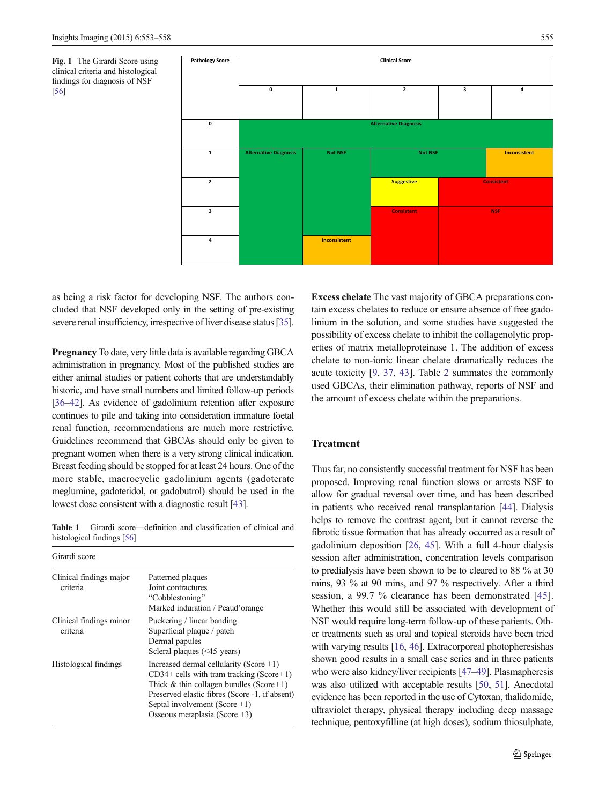<span id="page-2-0"></span>



as being a risk factor for developing NSF. The authors concluded that NSF developed only in the setting of pre-existing severe renal insufficiency, irrespective of liver disease status [\[35\]](#page-5-0).

Pregnancy To date, very little data is available regarding GBCA administration in pregnancy. Most of the published studies are either animal studies or patient cohorts that are understandably historic, and have small numbers and limited follow-up periods [\[36](#page-5-0)–[42](#page-5-0)]. As evidence of gadolinium retention after exposure continues to pile and taking into consideration immature foetal renal function, recommendations are much more restrictive. Guidelines recommend that GBCAs should only be given to pregnant women when there is a very strong clinical indication. Breast feeding should be stopped for at least 24 hours. One of the more stable, macrocyclic gadolinium agents (gadoterate meglumine, gadoteridol, or gadobutrol) should be used in the lowest dose consistent with a diagnostic result [\[43\]](#page-5-0).

Table 1 Girardi score—definition and classification of clinical and histological findings [[56](#page-5-0)]

| Girardi score                       |                                                                                                                                                                                                                                                                   |
|-------------------------------------|-------------------------------------------------------------------------------------------------------------------------------------------------------------------------------------------------------------------------------------------------------------------|
| Clinical findings major<br>criteria | Patterned plaques<br>Joint contractures<br>"Cobblestoning"<br>Marked induration / Peaud'orange                                                                                                                                                                    |
| Clinical findings minor<br>criteria | Puckering / linear banding<br>Superficial plaque / patch<br>Dermal papules<br>Scleral plaques $(\leq 45$ years)                                                                                                                                                   |
| Histological findings               | Increased dermal cellularity (Score $+1$ )<br>$CD34+$ cells with tram tracking (Score + 1)<br>Thick $&$ thin collagen bundles (Score+1)<br>Preserved elastic fibres (Score -1, if absent)<br>Septal involvement (Score $+1$ )<br>Osseous metaplasia (Score $+3$ ) |

Excess chelate The vast majority of GBCA preparations contain excess chelates to reduce or ensure absence of free gadolinium in the solution, and some studies have suggested the possibility of excess chelate to inhibit the collagenolytic properties of matrix metalloproteinase 1. The addition of excess chelate to non-ionic linear chelate dramatically reduces the acute toxicity [\[9,](#page-4-0) [37,](#page-5-0) [43](#page-5-0)]. Table [2](#page-3-0) summates the commonly used GBCAs, their elimination pathway, reports of NSF and the amount of excess chelate within the preparations.

## Treatment

Thus far, no consistently successful treatment for NSF has been proposed. Improving renal function slows or arrests NSF to allow for gradual reversal over time, and has been described in patients who received renal transplantation [[44\]](#page-5-0). Dialysis helps to remove the contrast agent, but it cannot reverse the fibrotic tissue formation that has already occurred as a result of gadolinium deposition [[26](#page-5-0), [45\]](#page-5-0). With a full 4-hour dialysis session after administration, concentration levels comparison to predialysis have been shown to be to cleared to 88 % at 30 mins, 93 % at 90 mins, and 97 % respectively. After a third session, a 99.7 % clearance has been demonstrated [\[45](#page-5-0)]. Whether this would still be associated with development of NSF would require long-term follow-up of these patients. Other treatments such as oral and topical steroids have been tried with varying results [[16](#page-4-0), [46\]](#page-5-0). Extracorporeal photopheresishas shown good results in a small case series and in three patients who were also kidney/liver recipients [\[47](#page-5-0)–[49\]](#page-5-0). Plasmapheresis was also utilized with acceptable results [[50](#page-5-0), [51\]](#page-5-0). Anecdotal evidence has been reported in the use of Cytoxan, thalidomide, ultraviolet therapy, physical therapy including deep massage technique, pentoxyfilline (at high doses), sodium thiosulphate,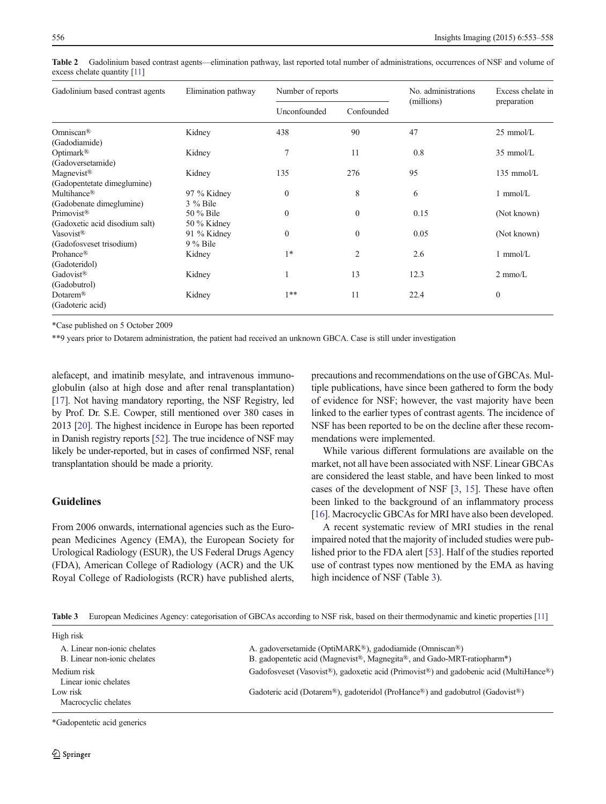| Gadolinium based contrast agents | Elimination pathway | Number of reports |                | No. administrations | Excess chelate in   |
|----------------------------------|---------------------|-------------------|----------------|---------------------|---------------------|
|                                  |                     | Unconfounded      | Confounded     | (millions)          | preparation         |
| Omniscan <sup>®</sup>            | Kidney              | 438               | 90             | 47                  | $25 \text{ mmol/L}$ |
| (Gadodiamide)                    |                     |                   |                |                     |                     |
| Optimark <sup>®</sup>            | Kidney              | 7                 | 11             | 0.8                 | $35 \text{ mmol/L}$ |
| (Gadoversetamide)                |                     |                   |                |                     |                     |
| Magnevist <sup>®</sup>           | Kidney              | 135               | 276            | 95                  | $135$ mmol/L        |
| (Gadopentetate dimeglumine)      |                     |                   |                |                     |                     |
| Multihance <sup>®</sup>          | 97 % Kidney         | $\Omega$          | 8              | 6                   | $1 \text{ mmol/L}$  |
| (Gadobenate dimeglumine)         | $3\%$ Bile          |                   |                |                     |                     |
| Primovist <sup>®</sup>           | 50 % Bile           | $\Omega$          | $\mathbf{0}$   | 0.15                | (Not known)         |
| (Gadoxetic acid disodium salt)   | 50 % Kidney         |                   |                |                     |                     |
| Vasovist <sup>®</sup>            | 91 % Kidney         | $\mathbf{0}$      | $\mathbf{0}$   | 0.05                | (Not known)         |
| (Gadofosveset trisodium)         | $9\%$ Bile          |                   |                |                     |                     |
| Prohance®                        | Kidney              | $1*$              | $\overline{2}$ | 2.6                 | $1$ mmol/ $L$       |
| (Gadoteridol)                    |                     |                   |                |                     |                     |
| Gadovist®                        | Kidney              |                   | 13             | 12.3                | $2 \text{ mmo/L}$   |
| (Gadobutrol)                     |                     |                   |                |                     |                     |
| Dotarem <sup>®</sup>             | Kidney              | $1**$             | 11             | 22.4                | $\mathbf{0}$        |
| (Gadoteric acid)                 |                     |                   |                |                     |                     |

<span id="page-3-0"></span>Table 2 Gadolinium based contrast agents—elimination pathway, last reported total number of administrations, occurrences of NSF and volume of excess chelate quantity [\[11](#page-4-0)]

\*Case published on 5 October 2009

\*\*9 years prior to Dotarem administration, the patient had received an unknown GBCA. Case is still under investigation

alefacept, and imatinib mesylate, and intravenous immunoglobulin (also at high dose and after renal transplantation) [\[17\]](#page-4-0). Not having mandatory reporting, the NSF Registry, led by Prof. Dr. S.E. Cowper, still mentioned over 380 cases in 2013 [\[20\]](#page-4-0). The highest incidence in Europe has been reported in Danish registry reports [\[52](#page-5-0)]. The true incidence of NSF may likely be under-reported, but in cases of confirmed NSF, renal transplantation should be made a priority.

# Guidelines

From 2006 onwards, international agencies such as the European Medicines Agency (EMA), the European Society for Urological Radiology (ESUR), the US Federal Drugs Agency (FDA), American College of Radiology (ACR) and the UK Royal College of Radiologists (RCR) have published alerts,

precautions and recommendations on the use of GBCAs. Multiple publications, have since been gathered to form the body of evidence for NSF; however, the vast majority have been linked to the earlier types of contrast agents. The incidence of NSF has been reported to be on the decline after these recommendations were implemented.

While various different formulations are available on the market, not all have been associated with NSF. Linear GBCAs are considered the least stable, and have been linked to most cases of the development of NSF [\[3](#page-4-0), [15\]](#page-4-0). These have often been linked to the background of an inflammatory process [\[16](#page-4-0)]. Macrocyclic GBCAs for MRI have also been developed.

A recent systematic review of MRI studies in the renal impaired noted that the majority of included studies were published prior to the FDA alert [\[53\]](#page-5-0). Half of the studies reported use of contrast types now mentioned by the EMA as having high incidence of NSF (Table 3).

Table 3 European Medicines Agency: categorisation of GBCAs according to NSF risk, based on their thermodynamic and kinetic properties [\[11](#page-4-0)]

| High risk                            |                                                                                        |
|--------------------------------------|----------------------------------------------------------------------------------------|
| A. Linear non-ionic chelates         | A. gadoversetamide (OptiMARK <sup>®</sup> ), gadodiamide (Omniscan <sup>®</sup> )      |
| B. Linear non-ionic chelates         | B. gadopentetic acid (Magnevist®, Magnegita®, and Gado-MRT-ratiopharm <sup>*</sup> )   |
| Medium risk<br>Linear ionic chelates | Gadofosveset (Vasovist®), gadoxetic acid (Primovist®) and gadobenic acid (MultiHance®) |
| Low risk<br>Macrocyclic chelates     | Gadoteric acid (Dotarem®), gadoteridol (ProHance®) and gadobutrol (Gadovist®)          |
|                                      |                                                                                        |

\*Gadopentetic acid generics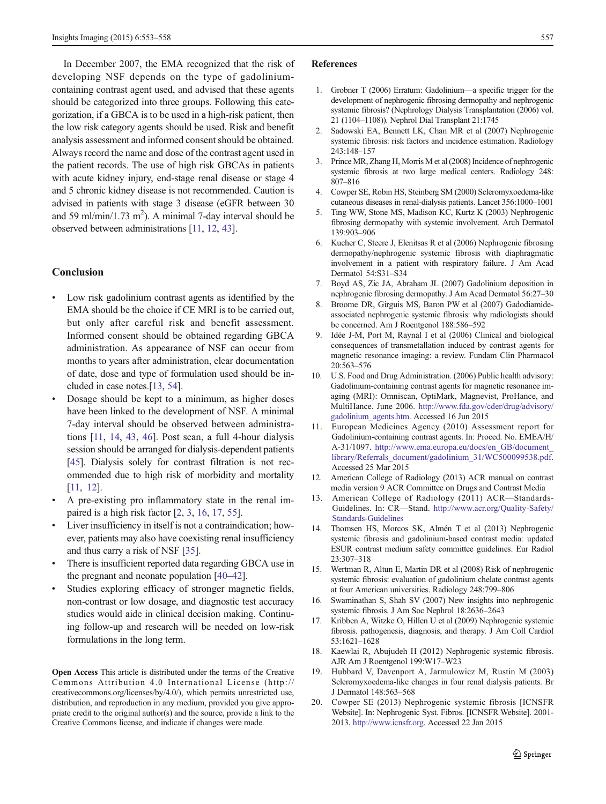<span id="page-4-0"></span>In December 2007, the EMA recognized that the risk of developing NSF depends on the type of gadoliniumcontaining contrast agent used, and advised that these agents should be categorized into three groups. Following this categorization, if a GBCA is to be used in a high-risk patient, then the low risk category agents should be used. Risk and benefit analysis assessment and informed consent should be obtained. Always record the name and dose of the contrast agent used in the patient records. The use of high risk GBCAs in patients with acute kidney injury, end-stage renal disease or stage 4 and 5 chronic kidney disease is not recommended. Caution is advised in patients with stage 3 disease (eGFR between 30 and 59 ml/min/1.73 m<sup>2</sup>). A minimal 7-day interval should be observed between administrations [11, 12, [43](#page-5-0)].

#### Conclusion

- Low risk gadolinium contrast agents as identified by the EMA should be the choice if CE MRI is to be carried out, but only after careful risk and benefit assessment. Informed consent should be obtained regarding GBCA administration. As appearance of NSF can occur from months to years after administration, clear documentation of date, dose and type of formulation used should be included in case notes.[13, [54](#page-5-0)].
- & Dosage should be kept to a minimum, as higher doses have been linked to the development of NSF. A minimal 7-day interval should be observed between administrations [11, 14, [43,](#page-5-0) [46](#page-5-0)]. Post scan, a full 4-hour dialysis session should be arranged for dialysis-dependent patients [\[45\]](#page-5-0). Dialysis solely for contrast filtration is not recommended due to high risk of morbidity and mortality [11, 12].
- & A pre-existing pro inflammatory state in the renal impaired is a high risk factor [2, 3, 16, 17, [55](#page-5-0)].
- Liver insufficiency in itself is not a contraindication; however, patients may also have coexisting renal insufficiency and thus carry a risk of NSF [\[35\]](#page-5-0).
- There is insufficient reported data regarding GBCA use in the pregnant and neonate population [[40](#page-5-0)–[42](#page-5-0)].
- Studies exploring efficacy of stronger magnetic fields, non-contrast or low dosage, and diagnostic test accuracy studies would aide in clinical decision making. Continuing follow-up and research will be needed on low-risk formulations in the long term.

Open Access This article is distributed under the terms of the Creative Commons Attribution 4.0 International License (http:// creativecommons.org/licenses/by/4.0/), which permits unrestricted use, distribution, and reproduction in any medium, provided you give appropriate credit to the original author(s) and the source, provide a link to the Creative Commons license, and indicate if changes were made.

#### References

- 1. Grobner T (2006) Erratum: Gadolinium—a specific trigger for the development of nephrogenic fibrosing dermopathy and nephrogenic systemic fibrosis? (Nephrology Dialysis Transplantation (2006) vol. 21 (1104–1108)). Nephrol Dial Transplant 21:1745
- 2. Sadowski EA, Bennett LK, Chan MR et al (2007) Nephrogenic systemic fibrosis: risk factors and incidence estimation. Radiology 243:148–157
- 3. Prince MR, Zhang H, Morris M et al (2008) Incidence of nephrogenic systemic fibrosis at two large medical centers. Radiology 248: 807–816
- 4. Cowper SE, Robin HS, Steinberg SM (2000) Scleromyxoedema-like cutaneous diseases in renal-dialysis patients. Lancet 356:1000–1001
- 5. Ting WW, Stone MS, Madison KC, Kurtz K (2003) Nephrogenic fibrosing dermopathy with systemic involvement. Arch Dermatol 139:903–906
- 6. Kucher C, Steere J, Elenitsas R et al (2006) Nephrogenic fibrosing dermopathy/nephrogenic systemic fibrosis with diaphragmatic involvement in a patient with respiratory failure. J Am Acad Dermatol 54:S31–S34
- 7. Boyd AS, Zic JA, Abraham JL (2007) Gadolinium deposition in nephrogenic fibrosing dermopathy. J Am Acad Dermatol 56:27–30
- Broome DR, Girguis MS, Baron PW et al (2007) Gadodiamideassociated nephrogenic systemic fibrosis: why radiologists should be concerned. Am J Roentgenol 188:586–592
- 9. Idée J-M, Port M, Raynal I et al (2006) Clinical and biological consequences of transmetallation induced by contrast agents for magnetic resonance imaging: a review. Fundam Clin Pharmacol 20:563–576
- 10. U.S. Food and Drug Administration. (2006) Public health advisory: Gadolinium-containing contrast agents for magnetic resonance imaging (MRI): Omniscan, OptiMark, Magnevist, ProHance, and MultiHance. June 2006. [http://www.fda.gov/cder/drug/advisory/](http://www.fda.gov/cder/drug/advisory/gadolinium_agents.htm) [gadolinium\\_agents.htm](http://www.fda.gov/cder/drug/advisory/gadolinium_agents.htm). Accessed 16 Jun 2015
- 11. European Medicines Agency (2010) Assessment report for Gadolinium-containing contrast agents. In: Proced. No. EMEA/H/ A-31/1097. [http://www.ema.europa.eu/docs/en\\_GB/document\\_](http://www.ema.europa.eu/docs/en_GB/document_library/Referrals_document/gadolinium_31/WC500099538.pdf) [library/Referrals\\_document/gadolinium\\_31/WC500099538.pdf](http://www.ema.europa.eu/docs/en_GB/document_library/Referrals_document/gadolinium_31/WC500099538.pdf). Accessed 25 Mar 2015
- 12. American College of Radiology (2013) ACR manual on contrast media version 9 ACR Committee on Drugs and Contrast Media
- 13. American College of Radiology (2011) ACR—Standards-Guidelines. In: CR—Stand. [http://www.acr.org/Quality-Safety/](http://www.acr.org/Quality-Safety/Standards-Guidelines) [Standards-Guidelines](http://www.acr.org/Quality-Safety/Standards-Guidelines)
- 14. Thomsen HS, Morcos SK, Almén T et al (2013) Nephrogenic systemic fibrosis and gadolinium-based contrast media: updated ESUR contrast medium safety committee guidelines. Eur Radiol 23:307–318
- 15. Wertman R, Altun E, Martin DR et al (2008) Risk of nephrogenic systemic fibrosis: evaluation of gadolinium chelate contrast agents at four American universities. Radiology 248:799–806
- 16. Swaminathan S, Shah SV (2007) New insights into nephrogenic systemic fibrosis. J Am Soc Nephrol 18:2636–2643
- 17. Kribben A, Witzke O, Hillen U et al (2009) Nephrogenic systemic fibrosis. pathogenesis, diagnosis, and therapy. J Am Coll Cardiol 53:1621–1628
- 18. Kaewlai R, Abujudeh H (2012) Nephrogenic systemic fibrosis. AJR Am J Roentgenol 199:W17–W23
- 19. Hubbard V, Davenport A, Jarmulowicz M, Rustin M (2003) Scleromyxoedema-like changes in four renal dialysis patients. Br J Dermatol 148:563–568
- 20. Cowper SE (2013) Nephrogenic systemic fibrosis [ICNSFR Website]. In: Nephrogenic Syst. Fibros. [ICNSFR Website]. 2001- 2013. [http://www.icnsfr.org](http://www.icnsfr.org/). Accessed 22 Jan 2015